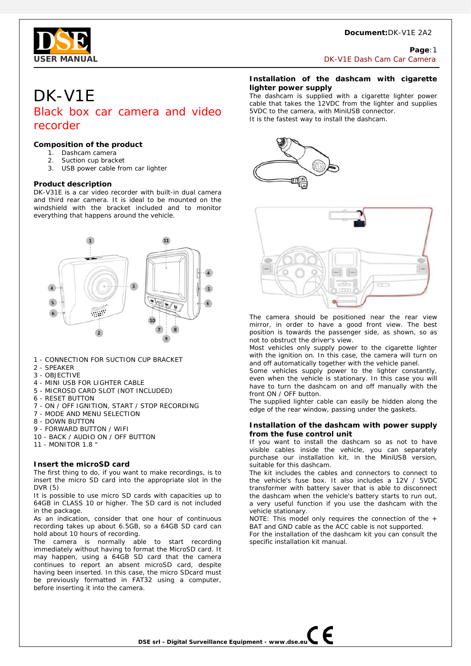## **Document:**DK-V1E 2A2



## **Page**:1 **USER MANUAL DK-V1E Dash Cam Car Camera**

# DK-V1E Black box car camera and video recorder

# **Composition of the product**

- 1. Dashcam camera
- 2. Suction cup bracket
- 3. USB power cable from car lighter

## **Product description**

DK-V31E is a car video recorder with built-in dual camera and third rear camera. It is ideal to be mounted on the windshield with the bracket included and to monitor everything that happens around the vehicle.



- 1 CONNECTION FOR SUCTION CUP BRACKET
- 2 SPEAKER
- 3 OBJECTIVE
- 4 MINI USB FOR LIGHTER CABLE
- 5 MICROSD CARD SLOT (NOT INCLUDED)
- 6 RESET BUTTON
- 7 ON / OFF IGNITION, START / STOP RECORDING
- 7 MODE AND MENU SELECTION
- 8 DOWN BUTTON
- 9 FORWARD BUTTON / WIFI
- 10 BACK / AUDIO ON / OFF BUTTON
- 11 MONITOR 1.8 "

## **Insert the microSD card**

The first thing to do, if you want to make recordings, is to insert the micro SD card into the appropriate slot in the DVR (5)

It is possible to use micro SD cards with capacities up to 64GB in CLASS 10 or higher. The SD card is not included in the package.

As an indication, consider that one hour of continuous recording takes up about 6.5GB, so a 64GB SD card can hold about 10 hours of recording.

The camera is normally able to start recording immediately without having to format the MicroSD card. It may happen, using a 64GB SD card that the camera continues to report an absent microSD card, despite having been inserted. In this case, the micro SDcard must be previously formatted in FAT32 using a computer, before inserting it into the camera.

## **Installation of the dashcam with cigarette lighter power supply**

The dashcam is supplied with a cigarette lighter power cable that takes the 12VDC from the lighter and supplies 5VDC to the camera, with MiniUSB connector. It is the fastest way to install the dashcam.





The camera should be positioned near the rear view mirror, in order to have a good front view. The best position is towards the passenger side, as shown, so as not to obstruct the driver's view.

Most vehicles only supply power to the cigarette lighter with the ignition on. In this case, the camera will turn on and off automatically together with the vehicle panel.

Some vehicles supply power to the lighter constantly, even when the vehicle is stationary. In this case you will have to turn the dashcam on and off manually with the front ON / OFF button.

The supplied lighter cable can easily be hidden along the edge of the rear window, passing under the gaskets.

## **Installation of the dashcam with power supply from the fuse control unit**

If you want to install the dashcam so as not to have visible cables inside the vehicle, you can separately purchase our installation kit, in the MiniUSB version, suitable for this dashcam.

The kit includes the cables and connectors to connect to the vehicle's fuse box. It also includes a 12V / 5VDC transformer with battery saver that is able to disconnect the dashcam when the vehicle's battery starts to run out, a very useful function if you use the dashcam with the vehicle stationary.

NOTE: This model only requires the connection of the + BAT and GND cable as the ACC cable is not supported.

For the installation of the dashcam kit you can consult the specific installation kit manual.

**DSE srl - Digital Surveillance Equipment - www.dse.eu**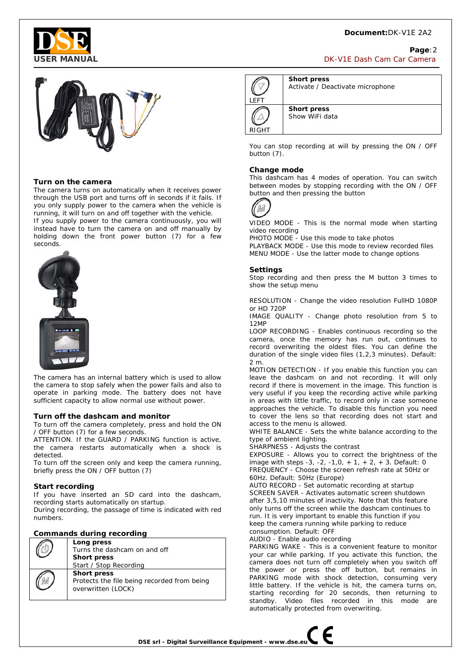# **Document:**DK-V1E 2A2



## **Page**:2 **USER MANUAL** DK-V1E Dash Cam Car Camera



## **Turn on the camera**

The camera turns on automatically when it receives power through the USB port and turns off in seconds if it fails. If you only supply power to the camera when the vehicle is running, it will turn on and off together with the vehicle.

If you supply power to the camera continuously, you will instead have to turn the camera on and off manually by holding down the front power button (7) for a few seconds.



The camera has an internal battery which is used to allow the camera to stop safely when the power fails and also to operate in parking mode. The battery does not have sufficient capacity to allow normal use without power.

#### **Turn off the dashcam and monitor**

To turn off the camera completely, press and hold the ON / OFF button (7) for a few seconds.

ATTENTION. If the GUARD / PARKING function is active, the camera restarts automatically when a shock is detected.

To turn off the screen only and keep the camera running, briefly press the ON / OFF button (7)

#### **Start recording**

If you have inserted an SD card into the dashcam, recording starts automatically on startup.

During recording, the passage of time is indicated with red numbers.

## **Commands during recording**

|  | Long press                                  |
|--|---------------------------------------------|
|  | Turns the dashcam on and off                |
|  | <b>Short press</b>                          |
|  | Start / Stop Recording                      |
|  | <b>Short press</b>                          |
|  | Protects the file being recorded from being |
|  | overwritten (LOCK)                          |
|  |                                             |



**Short press**  Activate / Deactivate microphone

**Short press**  Show WiFi data

You can stop recording at will by pressing the ON / OFF button (7).

#### **Change mode**

This dashcam has 4 modes of operation. You can switch between modes by stopping recording with the ON / OFF button and then pressing the button



VIDEO MODE - This is the normal mode when starting video recording

PHOTO MODE - Use this mode to take photos PLAYBACK MODE - Use this mode to review recorded files MENU MODE - Use the latter mode to change options

#### **Settings**

Stop recording and then press the M button 3 times to show the setup menu

RESOLUTION - Change the video resolution FullHD 1080P or HD 720P

IMAGE QUALITY - Change photo resolution from 5 to 12MP

LOOP RECORDING - Enables continuous recording so the camera, once the memory has run out, continues to record overwriting the oldest files. You can define the duration of the single video files (1,2,3 minutes). Default: 2 m.

MOTION DETECTION - If you enable this function you can leave the dashcam on and not recording. It will only record if there is movement in the image. This function is very useful if you keep the recording active while parking in areas with little traffic, to record only in case someone approaches the vehicle. To disable this function you need to cover the lens so that recording does not start and access to the menu is allowed.

WHITE BALANCE - Sets the white balance according to the type of ambient lighting.

SHARPNESS - Adjusts the contrast

EXPOSURE - Allows you to correct the brightness of the image with steps -3, -2, -1,0, + 1, + 2, + 3. Default: 0 FREQUENCY - Choose the screen refresh rate at 50Hz or 60Hz. Default: 50Hz (Europe)

AUTO RECORD - Set automatic recording at startup SCREEN SAVER - Activates automatic screen shutdown after 3,5,10 minutes of inactivity. Note that this feature only turns off the screen while the dashcam continues to run. It is very important to enable this function if you keep the camera running while parking to reduce consumption. Default: OFF

AUDIO - Enable audio recording

PARKING WAKE - This is a convenient feature to monitor your car while parking. If you activate this function, the camera does not turn off completely when you switch off the power or press the off button, but remains in PARKING mode with shock detection, consuming very little battery. If the vehicle is hit, the camera turns on, starting recording for 20 seconds, then returning to standby. Video files recorded in this mode are automatically protected from overwriting.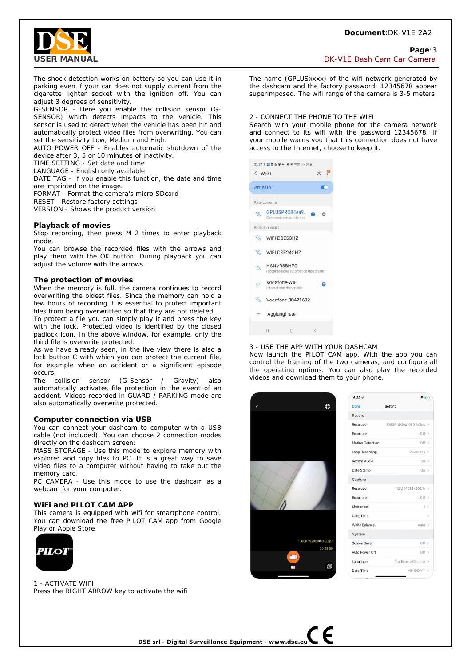# **Document:**DK-V1E 2A2



**Page**:3 **USER MANUAL DESIGNATION DESIGNATION DESIGNATION DESIGNATION DESIGNATION DESIGNATION** 

The shock detection works on battery so you can use it in parking even if your car does not supply current from the cigarette lighter socket with the ignition off. You can adjust 3 degrees of sensitivity.

G-SENSOR - Here you enable the collision sensor (G-SENSOR) which detects impacts to the vehicle. This sensor is used to detect when the vehicle has been hit and automatically protect video files from overwriting. You can set the sensitivity Low, Medium and High.

AUTO POWER OFF - Enables automatic shutdown of the device after 3, 5 or 10 minutes of inactivity.

TIME SETTING - Set date and time

LANGUAGE - English only available

DATE TAG - If you enable this function, the date and time are imprinted on the image.

FORMAT - Format the camera's micro SDcard

RESET - Restore factory settings

VERSION - Shows the product version

#### **Playback of movies**

Stop recording, then press M 2 times to enter playback mode.

You can browse the recorded files with the arrows and play them with the OK button. During playback you can adjust the volume with the arrows.

#### **The protection of movies**

When the memory is full, the camera continues to record overwriting the oldest files. Since the memory can hold a few hours of recording it is essential to protect important files from being overwritten so that they are not deleted.

To protect a file you can simply play it and press the key with the lock. Protected video is identified by the closed padlock icon. In the above window, for example, only the third file is overwrite protected.

As we have already seen, in the live view there is also a lock button C with which you can protect the current file, for example when an accident or a significant episode occurs.

The collision sensor (G-Sensor / Gravity) also automatically activates file protection in the event of an accident. Videos recorded in GUARD / PARKING mode are also automatically overwrite protected.

#### **Computer connection via USB**

You can connect your dashcam to computer with a USB cable (not included). You can choose 2 connection modes directly on the dashcam screen:

MASS STORAGE - Use this mode to explore memory with explorer and copy files to PC. It is a great way to save video files to a computer without having to take out the memory card.

PC CAMERA - Use this mode to use the dashcam as a webcam for your computer.

#### **WiFi and PILOT CAM APP**

This camera is equipped with wifi for smartphone control. You can download the free PILOT CAM app from Google Play or Apple Store



1 - ACTIVATE WIFI Press the RIGHT ARROW key to activate the wifi

The name (GPLUSxxxx) of the wifi network generated by the dashcam and the factory password: 12345678 appear superimposed. The wifi range of the camera is 3-5 meters

#### 2 - CONNECT THE PHONE TO THE WIFI

Search with your mobile phone for the camera network and connect to its wifi with the password 12345678. If your mobile warns you that this connection does not have access to the Internet, choose to keep it.



## 3 - USE THE APP WITH YOUR DASHCAM

Now launch the PILOT CAM app. With the app you can control the framing of the two cameras, and configure all the operating options. You can also play the recorded videos and download them to your phone.



| 6:337                   | $- 70$                  |               |
|-------------------------|-------------------------|---------------|
| Done                    | Setting                 |               |
| Record                  |                         |               |
| Resolution              | 1080P 1920x1080 30fps > |               |
| Exposure                | $+0.0$ >                |               |
| <b>Motion Detection</b> | Off >                   |               |
| <b>Loop Recording</b>   | 2 Minutes >             |               |
| <b>Record Audio</b>     | On >                    |               |
| Date Stamp              | On $>$                  |               |
| Capture                 |                         |               |
| <b>Resolution</b>       | 12M (4032x3024) >       |               |
| Exposure                | $+0.0$ >                |               |
| Sharpness               |                         | $1$ >         |
| Date/Time               |                         | $\mathcal{P}$ |
| White Balance           | Auto >                  |               |
| System                  |                         |               |
| Screen Saver            | Off >                   |               |
| Auto Power Off          | Off > 2                 |               |
| Language                | Traditional Chinese >   |               |
| Date/Time               | MM/DD/YY >              |               |

**DSE srl - Digital Surveillance Equipment - www.dse.eu**